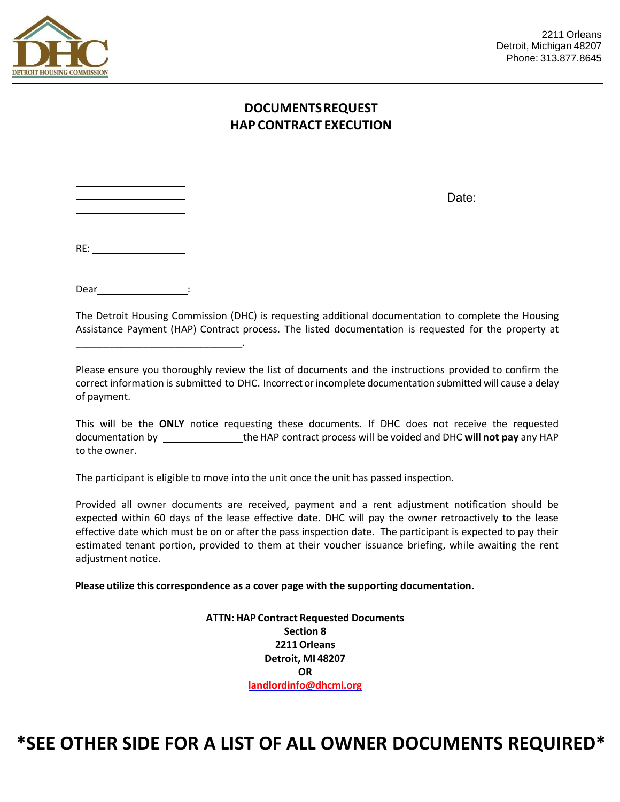

## **DOCUMENTS REQUEST HAP CONTRACT EXECUTION**

Date:

Dear\_\_\_\_\_\_\_\_\_\_\_\_\_\_\_\_\_\_\_\_\_\_\_:

\_\_\_\_\_\_\_\_\_\_\_\_\_\_\_\_\_\_\_\_\_\_\_\_\_\_\_\_\_\_.

The Detroit Housing Commission (DHC) is requesting additional documentation to complete the Housing Assistance Payment (HAP) Contract process. The listed documentation is requested for the property at

Please ensure you thoroughly review the list of documents and the instructions provided to confirm the correct information is submitted to DHC. Incorrect or incomplete documentation submitted will cause a delay of payment.

This will be the **ONLY** notice requesting these documents. If DHC does not receive the requested documentation by \_\_\_\_\_\_\_\_\_\_\_\_\_\_the HAP contract process will be voided and DHC **will not pay** any HAP to the owner.

The participant is eligible to move into the unit once the unit has passed inspection.

Provided all owner documents are received, payment and a rent adjustment notification should be expected within 60 days of the lease effective date. DHC will pay the owner retroactively to the lease effective date which must be on or after the pass inspection date. The participant is expected to pay their estimated tenant portion, provided to them at their voucher issuance briefing, while awaiting the rent adjustment notice.

**Please utilize this correspondence as a cover page with the supporting documentation.** 

**ATTN: HAP Contract Requested Documents Section 8 2211 Orleans Detroit, MI 48207 OR [landlordinfo@dhcmi.org](mailto:Mehalskis@dhcmi.org)**

## **\*SEE OTHER SIDE FOR A LIST OF ALL OWNER DOCUMENTS REQUIRED\***